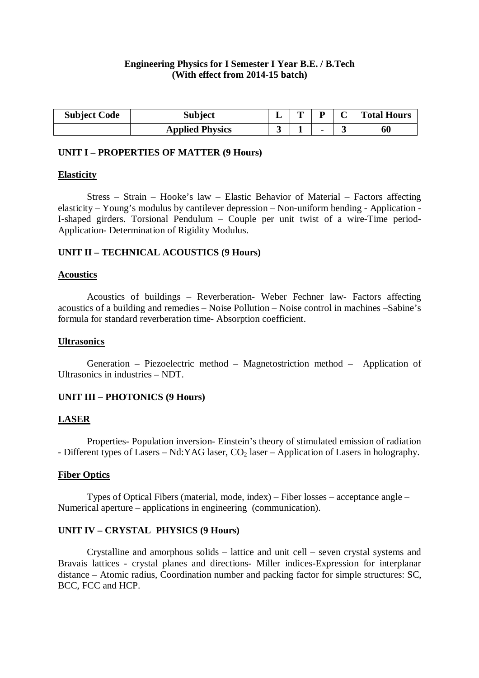# **Engineering Physics for I Semester I Year B.E. / B.Tech (With effect from 2014-15 batch)**

| <b>Subject Code</b> | <b>Subject</b>         | m |  | <b>Total Hours</b> |
|---------------------|------------------------|---|--|--------------------|
|                     | <b>Applied Physics</b> |   |  | 60                 |

### **UNIT I – PROPERTIES OF MATTER (9 Hours)**

### **Elasticity**

Stress – Strain – Hooke's law – Elastic Behavior of Material – Factors affecting elasticity – Young's modulus by cantilever depression – Non-uniform bending - Application - I-shaped girders. Torsional Pendulum – Couple per unit twist of a wire-Time period-Application- Determination of Rigidity Modulus.

# **UNIT II – TECHNICAL ACOUSTICS (9 Hours)**

### **Acoustics**

Acoustics of buildings – Reverberation- Weber Fechner law- Factors affecting acoustics of a building and remedies – Noise Pollution – Noise control in machines –Sabine's formula for standard reverberation time- Absorption coefficient.

#### **Ultrasonics**

Generation – Piezoelectric method – Magnetostriction method – Application of Ultrasonics in industries – NDT.

# **UNIT III – PHOTONICS (9 Hours)**

# **LASER**

Properties- Population inversion- Einstein's theory of stimulated emission of radiation - Different types of Lasers – Nd: YAG laser,  $CO<sub>2</sub>$  laser – Application of Lasers in holography.

# **Fiber Optics**

Types of Optical Fibers (material, mode, index) – Fiber losses – acceptance angle – Numerical aperture – applications in engineering (communication).

# **UNIT IV – CRYSTAL PHYSICS (9 Hours)**

Crystalline and amorphous solids – lattice and unit cell – seven crystal systems and Bravais lattices - crystal planes and directions- Miller indices-Expression for interplanar distance – Atomic radius, Coordination number and packing factor for simple structures: SC, BCC, FCC and HCP.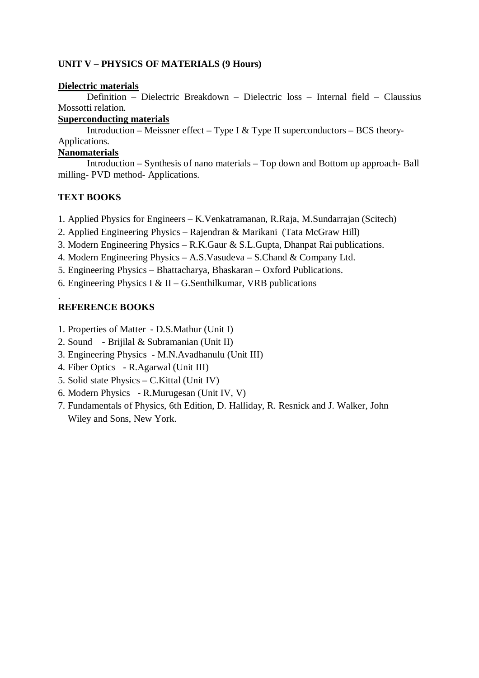# **UNIT V – PHYSICS OF MATERIALS (9 Hours)**

#### **Dielectric materials**

Definition – Dielectric Breakdown – Dielectric loss – Internal field – Claussius Mossotti relation.

# **Superconducting materials**

Introduction – Meissner effect – Type I & Type II superconductors – BCS theory-Applications.

# **Nanomaterials**

Introduction – Synthesis of nano materials – Top down and Bottom up approach- Ball milling- PVD method- Applications.

# **TEXT BOOKS**

- 1. Applied Physics for Engineers K.Venkatramanan, R.Raja, M.Sundarrajan (Scitech)
- 2. Applied Engineering Physics Rajendran & Marikani (Tata McGraw Hill)
- 3. Modern Engineering Physics R.K.Gaur & S.L.Gupta, Dhanpat Rai publications.
- 4. Modern Engineering Physics A.S.Vasudeva S.Chand & Company Ltd.
- 5. Engineering Physics Bhattacharya, Bhaskaran Oxford Publications.
- 6. Engineering Physics I & II G. Senthilkumar, VRB publications

# **REFERENCE BOOKS**

.

- 1. Properties of Matter D.S.Mathur (Unit I)
- 2. Sound Brijilal & Subramanian (Unit II)
- 3. Engineering Physics M.N.Avadhanulu (Unit III)
- 4. Fiber Optics R.Agarwal (Unit III)
- 5. Solid state Physics C.Kittal (Unit IV)
- 6. Modern Physics R.Murugesan (Unit IV, V)
- 7. Fundamentals of Physics, 6th Edition, D. Halliday, R. Resnick and J. Walker, John Wiley and Sons, New York.